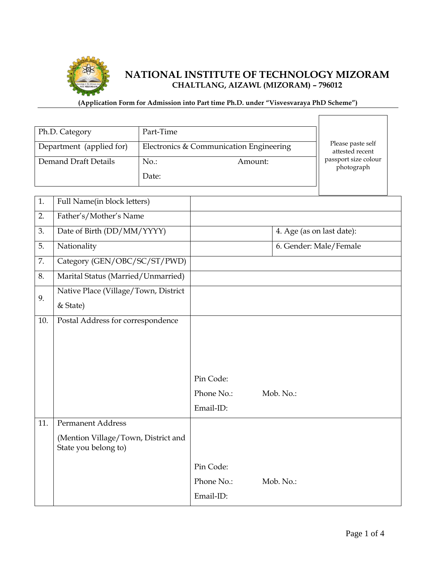

# **NATIONAL INSTITUTE OF TECHNOLOGY MIZORAM CHALTLANG, AIZAWL (MIZORAM) – 796012**

### **(Application Form for Admission into Part time Ph.D. under "Visvesvaraya PhD Scheme")**

| Ph.D. Category           |                                                             | Part-Time |                                         |           |                                      |
|--------------------------|-------------------------------------------------------------|-----------|-----------------------------------------|-----------|--------------------------------------|
| Department (applied for) |                                                             |           | Electronics & Communication Engineering |           | Please paste self<br>attested recent |
|                          | Demand Draft Details                                        | $No.$ :   | Amount:                                 |           | passport size colour<br>photograph   |
|                          |                                                             | Date:     |                                         |           |                                      |
|                          |                                                             |           |                                         |           |                                      |
| 1.                       | Full Name(in block letters)                                 |           |                                         |           |                                      |
| 2.                       | Father's/Mother's Name                                      |           |                                         |           |                                      |
| 3.                       | Date of Birth (DD/MM/YYYY)                                  |           |                                         |           | 4. Age (as on last date):            |
| 5.                       | Nationality                                                 |           |                                         |           | 6. Gender: Male/Female               |
| 7.                       | Category (GEN/OBC/SC/ST/PWD)                                |           |                                         |           |                                      |
| 8.                       | Marital Status (Married/Unmarried)                          |           |                                         |           |                                      |
|                          | Native Place (Village/Town, District                        |           |                                         |           |                                      |
| 9.                       | & State)                                                    |           |                                         |           |                                      |
| 10.                      | Postal Address for correspondence                           |           |                                         |           |                                      |
|                          |                                                             |           |                                         |           |                                      |
|                          |                                                             |           |                                         |           |                                      |
|                          |                                                             |           |                                         |           |                                      |
|                          |                                                             |           | Pin Code:                               |           |                                      |
|                          |                                                             |           | Phone No.:                              | Mob. No.: |                                      |
|                          |                                                             |           | Email-ID:                               |           |                                      |
| 11.                      | <b>Permanent Address</b>                                    |           |                                         |           |                                      |
|                          | (Mention Village/Town, District and<br>State you belong to) |           |                                         |           |                                      |
|                          |                                                             |           | Pin Code:                               |           |                                      |
|                          |                                                             |           | Phone No.:                              | Mob. No.: |                                      |
|                          |                                                             |           | Email-ID:                               |           |                                      |
|                          |                                                             |           |                                         |           |                                      |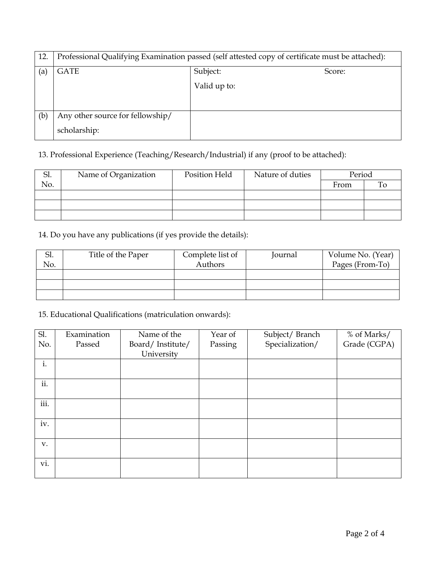| 12. | Professional Qualifying Examination passed (self attested copy of certificate must be attached): |              |        |  |
|-----|--------------------------------------------------------------------------------------------------|--------------|--------|--|
| (a) | <b>GATE</b>                                                                                      | Subject:     | Score: |  |
|     |                                                                                                  | Valid up to: |        |  |
|     |                                                                                                  |              |        |  |
| (b) | Any other source for fellowship/                                                                 |              |        |  |
|     | scholarship:                                                                                     |              |        |  |

## 13. Professional Experience (Teaching/Research/Industrial) if any (proof to be attached):

| Sl. | Name of Organization | Position Held | Nature of duties | Period |  |
|-----|----------------------|---------------|------------------|--------|--|
| No. |                      |               |                  | From   |  |
|     |                      |               |                  |        |  |
|     |                      |               |                  |        |  |
|     |                      |               |                  |        |  |

### 14. Do you have any publications (if yes provide the details):

| Sl. | Title of the Paper | Complete list of | Journal | Volume No. (Year) |
|-----|--------------------|------------------|---------|-------------------|
| No. |                    | Authors          |         | Pages (From-To)   |
|     |                    |                  |         |                   |
|     |                    |                  |         |                   |
|     |                    |                  |         |                   |

### 15. Educational Qualifications (matriculation onwards):

| Sl.  | Examination | Name of the      | Year of | Subject/Branch  | % of Marks/  |
|------|-------------|------------------|---------|-----------------|--------------|
| No.  | Passed      | Board/Institute/ | Passing | Specialization/ | Grade (CGPA) |
|      |             | University       |         |                 |              |
| i.   |             |                  |         |                 |              |
|      |             |                  |         |                 |              |
| ii.  |             |                  |         |                 |              |
|      |             |                  |         |                 |              |
| iii. |             |                  |         |                 |              |
|      |             |                  |         |                 |              |
| iv.  |             |                  |         |                 |              |
|      |             |                  |         |                 |              |
| V.   |             |                  |         |                 |              |
|      |             |                  |         |                 |              |
| vi.  |             |                  |         |                 |              |
|      |             |                  |         |                 |              |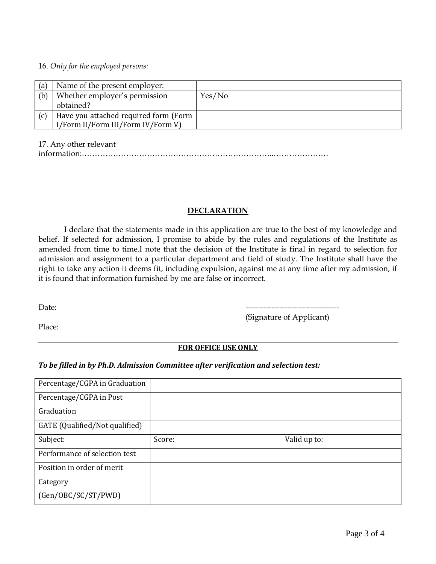#### 16. *Only for the employed persons:*

| (a) | Name of the present employer:         |        |
|-----|---------------------------------------|--------|
| (b) | Whether employer's permission         | Yes/No |
|     | obtained?                             |        |
| (c) | Have you attached required form (Form |        |
|     | I/Form II/Form III/Form IV/Form V)    |        |

17. Any other relevant

|--|--|--|

#### **DECLARATION**

I declare that the statements made in this application are true to the best of my knowledge and belief. If selected for admission, I promise to abide by the rules and regulations of the Institute as amended from time to time.I note that the decision of the Institute is final in regard to selection for admission and assignment to a particular department and field of study. The Institute shall have the right to take any action it deems fit, including expulsion, against me at any time after my admission, if it is found that information furnished by me are false or incorrect.

Date: ------------------------------------ (Signature of Applicant)

Place:

#### **FOR OFFICE USE ONLY**

#### *To be filled in by Ph.D. Admission Committee after verification and selection test:*

| Percentage/CGPA in Graduation  |        |              |  |
|--------------------------------|--------|--------------|--|
| Percentage/CGPA in Post        |        |              |  |
| Graduation                     |        |              |  |
| GATE (Qualified/Not qualified) |        |              |  |
| Subject:                       | Score: | Valid up to: |  |
| Performance of selection test  |        |              |  |
|                                |        |              |  |
| Position in order of merit     |        |              |  |
| Category                       |        |              |  |